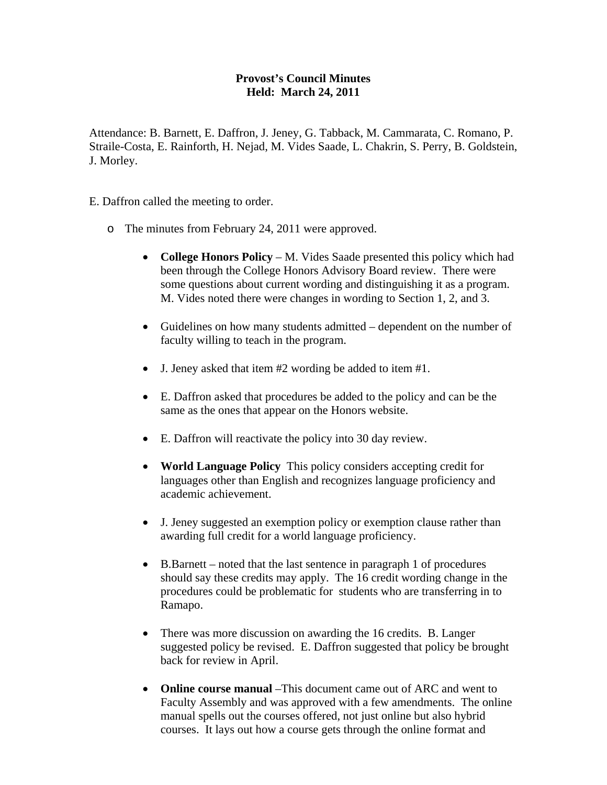## **Provost's Council Minutes Held: March 24, 2011**

Attendance: B. Barnett, E. Daffron, J. Jeney, G. Tabback, M. Cammarata, C. Romano, P. Straile-Costa, E. Rainforth, H. Nejad, M. Vides Saade, L. Chakrin, S. Perry, B. Goldstein, J. Morley.

E. Daffron called the meeting to order.

- o The minutes from February 24, 2011 were approved.
	- **College Honors Policy** M. Vides Saade presented this policy which had been through the College Honors Advisory Board review. There were some questions about current wording and distinguishing it as a program. M. Vides noted there were changes in wording to Section 1, 2, and 3.
	- Guidelines on how many students admitted dependent on the number of faculty willing to teach in the program.
	- J. Jeney asked that item #2 wording be added to item #1.
	- E. Daffron asked that procedures be added to the policy and can be the same as the ones that appear on the Honors website.
	- E. Daffron will reactivate the policy into 30 day review.
	- **World Language Policy** This policy considers accepting credit for languages other than English and recognizes language proficiency and academic achievement.
	- J. Jeney suggested an exemption policy or exemption clause rather than awarding full credit for a world language proficiency.
	- B.Barnett noted that the last sentence in paragraph 1 of procedures should say these credits may apply. The 16 credit wording change in the procedures could be problematic for students who are transferring in to Ramapo.
	- There was more discussion on awarding the 16 credits. B. Langer suggested policy be revised. E. Daffron suggested that policy be brought back for review in April.
	- **Online course manual** –This document came out of ARC and went to Faculty Assembly and was approved with a few amendments. The online manual spells out the courses offered, not just online but also hybrid courses. It lays out how a course gets through the online format and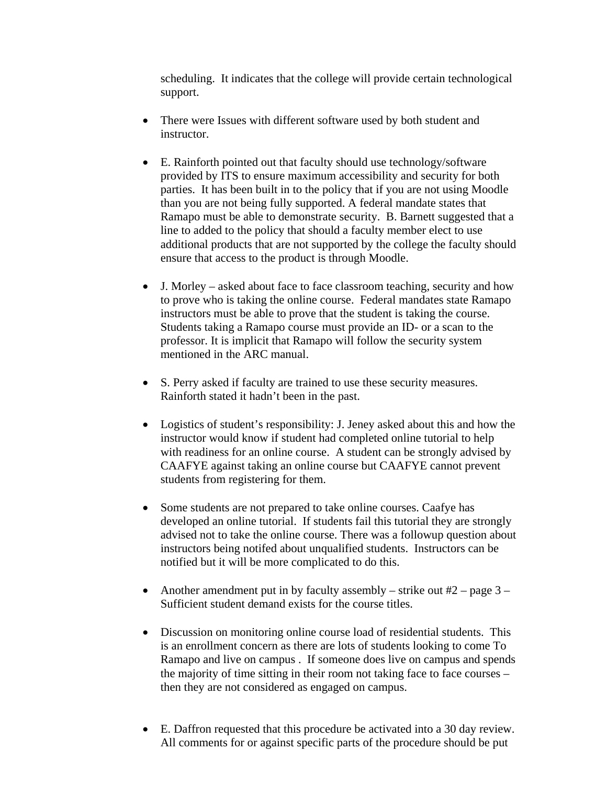scheduling. It indicates that the college will provide certain technological support.

- There were Issues with different software used by both student and instructor.
- E. Rainforth pointed out that faculty should use technology/software provided by ITS to ensure maximum accessibility and security for both parties. It has been built in to the policy that if you are not using Moodle than you are not being fully supported. A federal mandate states that Ramapo must be able to demonstrate security. B. Barnett suggested that a line to added to the policy that should a faculty member elect to use additional products that are not supported by the college the faculty should ensure that access to the product is through Moodle.
- J. Morley asked about face to face classroom teaching, security and how to prove who is taking the online course. Federal mandates state Ramapo instructors must be able to prove that the student is taking the course. Students taking a Ramapo course must provide an ID- or a scan to the professor. It is implicit that Ramapo will follow the security system mentioned in the ARC manual.
- S. Perry asked if faculty are trained to use these security measures. Rainforth stated it hadn't been in the past.
- Logistics of student's responsibility: J. Jeney asked about this and how the instructor would know if student had completed online tutorial to help with readiness for an online course. A student can be strongly advised by CAAFYE against taking an online course but CAAFYE cannot prevent students from registering for them.
- Some students are not prepared to take online courses. Caafye has developed an online tutorial. If students fail this tutorial they are strongly advised not to take the online course. There was a followup question about instructors being notifed about unqualified students. Instructors can be notified but it will be more complicated to do this.
- Another amendment put in by faculty assembly strike out  $#2$  page 3 Sufficient student demand exists for the course titles.
- Discussion on monitoring online course load of residential students. This is an enrollment concern as there are lots of students looking to come To Ramapo and live on campus . If someone does live on campus and spends the majority of time sitting in their room not taking face to face courses – then they are not considered as engaged on campus.
- E. Daffron requested that this procedure be activated into a 30 day review. All comments for or against specific parts of the procedure should be put